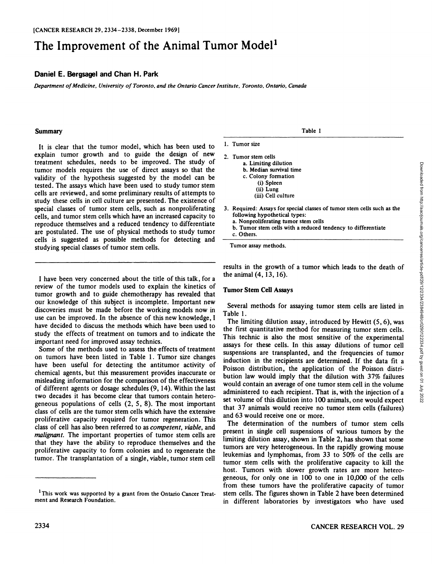# The Improvement of the Animal Tumor Model<sup>1</sup>

## **Daniel E. Bergsagel and Chan H. Park**

*Department of Medicine, University ofToronto, and the Ontario Cancer Institute, Toronto, Ontario, Canada*

#### **Summary**

It is clear that the tumor model, which has been used to explain tumor growth and to guide the design of new treatment schedules, needs to be improved. The study of tumor models requires the use of direct assays so that the validity of the hypothesis suggested by the model can be tested. The assays which have been used to study tumor stem cells are reviewed, and some preliminary results of attempts to study these cells in cell culture are presented. The existence of special classes of tumor stem cells, such as nonproliferating cells, and tumor stem cells which have an increased capacity to reproduce themselves and a reduced tendency to differentiate are postulated. The use of physical methods to study tumor cells is suggested as possible methods for detecting and studying special classes of tumor stem cells.

I have been very concerned about the title of this talk, for a review of the tumor models used to explain the kinetics of tumor growth and to guide chemotherapy has revealed that our knowledge of this subject is incomplete. Important new discoveries must be made before the working models now in use can be improved. In the absence of this new knowledge, I have decided to discuss the methods which have been used to study the effects of treatment on tumors and to indicate the important need for improved assay technics.

Some of the methods used to assess the effects of treatment on tumors have been listed in Table 1. Tumor size changes have been useful for detecting the antitumor activity of chemical agents, but this measurement provides inaccurate or misleading information for the comparison of the effectiveness of different agents or dosage schedules (9,14). Within the last two decades it has become clear that tumors contain hetero geneous populations of cells (2, 5, 8). The most important class of cells are the tumor stem cells which have the extensive proliferative capacity required for tumor regeneration. This class of cell has also been referred to as competent, viable, and *malignant. The important properties of tumor stem cells are* that they have the ability to reproduce themselves and the proliferative capacity to form colonies and to regenerate the tumor. The transplantation of a single, viable, tumor stem cell

Table 1

- 1. Tumor size
- 2. Tumor stem cells a. Limiting dilution b. Median survival time c. Colony formation (i) Spleen (ii) Lung (iii) Cell culture
- following hypothetical types:
	- a. Nonproliferating tumor stem cells
	- b. Tumor stem cells with a reduced tendency to differentiate
	- c. Others.

Tumor assay methods.

results in the growth of a tumor which leads to the death of the animal (4,13, 16).

#### Tumor Stem Cell Assays

Several methods for assaying tumor stem cells are listed in Table 1.

**1.** Limiting diuluon<br> **b.** Median survival time<br>
c. Colony formation<br>
(i) Spleen<br>
(ii) Lung<br>
(iii) Cell culture<br>
3. Required: Assays for special classes of tumor stem cells such as the<br>
following hypothetical types:<br> **b.** The limiting dilution assay, introduced by Hewitt (5, 6), was the first quantitative method for measuring tumor stem cells. This technic is also the most sensitive of the experimental assays for these cells. In this assay dilutions of tumor cell suspensions are transplanted, and the frequencies of tumor induction in the recipients are determined. If the data fit a Poisson distribution, the application of the Poisson distri bution law would imply that the dilution with 37% failures would contain an average of one tumor stem cell in the volume administered to each recipient. That is, with the injection of a set volume of this dilution into 100 animals, one would expect that 37 animals would receive no tumor stem cells (failures) and 63 would receive one or more.

The determination of the numbers of tumor stem cells present in single cell suspensions of various tumors by the limiting dilution assay, shown in Table 2, has shown that some tumors are very heterogeneous. In the rapidly growing mouse leukemias and lymphomas, from 33 to 50% of the cells are tumor stem cells with the proliferative capacity to kill the host. Tumors with slower growth rates are more hetero geneous, for only one in 100 to one in 10,000 of the cells from these tumors have the proliferative capacity of tumor stem cells. The figures shown in Table 2 have been determined in different laboratories by investigators who have used

<sup>&</sup>lt;sup>1</sup>This work was supported by a grant from the Ontario Cancer Treatment and Research Foundation.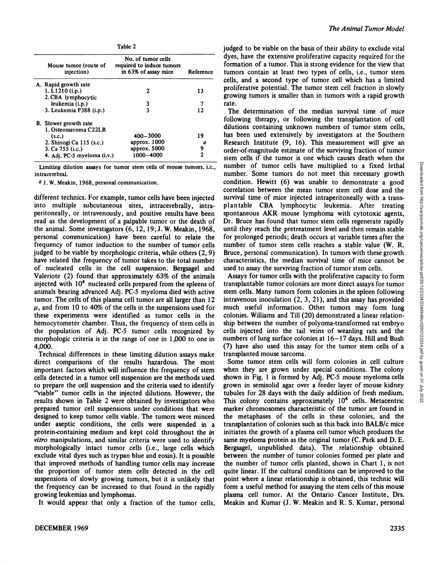| Table 2 |  |
|---------|--|
|---------|--|

| Mouse tumor (route of<br>injection) | No. of tumor cells<br>required to induce tumors<br>in 63% of assay mice | Reference |
|-------------------------------------|-------------------------------------------------------------------------|-----------|
| A. Rapid growth rate                |                                                                         |           |
| 1. $L1210$ (i.p.)                   | 2                                                                       | 13        |
| 2. CBA lymphocytic                  |                                                                         |           |
| leukemia (i.p.)                     | 3                                                                       |           |
| 3. Leukemia P388 (i.p.)             | 3                                                                       | 12        |
| <b>B.</b> Slower growth rate        |                                                                         |           |
| 1. Osteosarcoma C22LR               |                                                                         |           |
| (s.c.)                              | 400-3000                                                                | 19        |
| 2. Shinogi Ca 115 (s.c.)            | approx. 1000                                                            | a         |
| 3. Ca 755 (i.c.)                    | approx. 5000                                                            | 9         |
| 4. Adj. PC-5 myeloma (i.v.)         | 1000-4000                                                               | 2         |

Limiting dilution assays for tumor stem cells of mouse tumors, i.e., intrace rebral.

*a J. W. Meakin. 1968, personal communication.*

different technics. For example, tumor cells have been injected into multiple subcutaneous sites, intracerebrally, intraperitoneally, or intravenously, and positive results have been read as the development of a palpable tumor or the death of the animal. Some investigators (6,12,19; J. W. Meakin, 1968, personal communication) have been careful to relate the frequency of tumor induction to the number of tumor cells judged to be viable by morphologic criteria, while others (2, 9) have related the frequency of tumor takes to the total number of nucleated cells in the cell suspension. Bergsagel and Valeriote (2) found that approximately 63% of the animals injected with 10<sup>4</sup> nucleated cells prepared from the spleens of animals bearing advanced Adj. PC-5 myeloma died with active tumor. The cells of this plasma cell tumor are all larger than 12  $\mu$ , and from 10 to 40% of the cells in the suspensions used for these experiments were identified as tumor cells in the hemocytometer chamber. Thus, the frequency of stem cells in the population of Adj. PC-5 tumor cells recognized by morphologic criteria is in the range of one in 1,000 to one in 4,000.

Technical differences in these limiting dilution assays make direct comparisons of the results hazardous. The most important factors which will influence the frequency of stem cells detected in a tumor cell suspension are the methods used to prepare the cell suspension and the criteria used to identify "viable" tumor cells in the injected dilutions. However, the results shown in Table 2 were obtained by investigators who prepared tumor cell suspensions under conditions that were designed to keep tumor cells viable. The tumors were minced under aseptic conditions, the cells were suspended in a protein-containing medium and kept cold throughout the in *vitro manipulations, and similar criteria were used to identify* morphologically intact tumor cells (i.e., large cells which exclude vital dyes such as trypan blue and eosin). It is possible that improved methods of handling tumor cells may increase the proportion of tumor stem cells detected in the cell suspensions of slowly growing tumors, but it is unlikely that the frequency can be increased to that found in the rapidly growing leukemias and lymphomas.

It would appear that only a fraction of the tumor cells,

judged to be viable on the basis of their ability to exclude vital dyes, have the extensive proliferative capacity required for the formation of a tumor. This is strong evidence for the view that tumors contain at least two types of cells, i.e., tumor stem cells, and a second type of tumor cell which has a limited proliferative potential. The tumor stem cell fraction in slowly growing tumors is smaller than in tumors with a rapid growth rate.

The determination of the median survival time of mice following therapy, or following the transplantation of cell dilutions containing unknown numbers of tumor stem cells, has been used extensively by investigators at the Southern Research Institute (9, 16). This measurement will give an order-of-magnitude estimate of the surviving fraction of tumor stem cells if the tumor is one which causes death when the number of tumor cells have multiplied to a fixed lethal<br>number. Some tumors do not meet this necessary growth condition. Hewitt (6) was unable to demonstrate a go number of tumor cells have multiplied to a fixed lethal number. Some tumors do not meet this necessary growth condition. Hewitt (6) was unable to demonstrate a good correlation between the mean tumor stem cell dose and the survival time of mice injected intraperitoneally with a transplantable CBA lymphocytic leukemia. After treating spontaneous AKR mouse lymphoma with cytotoxic agents, Dr. Bruce has found that tumor stem cells regenerate rapidly until they reach the pretreatment level and then remain stable for prolonged periods; death occurs at variable times after the number of tumor stem cells reaches a stable value (W. R. Bruce, personal communication). In tumors with these growth characteristics, the median survival time of mice cannot be used to assay the surviving fraction of tumor stem cells.

Assays for tumor cells with the proliferative capacity to form transplantable tumor colonies are more direct assays for tumor stem cells. Many tumors form colonies in the spleen following intravenous inoculation (2, 3, 21), and this assay has provided much useful information. Other tumors may form lung colonies. Williams and Till (20) demonstrated a linear relation ship between the number of polyoma-transformed rat embryo cells injected into the tail veins of weanling rats and the numbers of lung surface colonies at  $16-17$  days. Hill and Bush (7) have also used this assay for the tumor stem cells of a transplanted mouse sarcoma.

Some tumor stem cells will form colonies in cell culture when they are grown under special conditions. The colony shown in Fig. 1 is formed by Adj. PC-5 mouse myeloma cells grown in semisolid agar over a feeder layer of mouse kidney tubules for 28 days with the daily addition of fresh medium. This colony contains approximately  $10<sup>4</sup>$  cells. Metacentric marker chromosomes characteristic of the tumor are found in the metaphases of the cells in these colonies, and the transplantation of colonies such as this back into BALB/c mice initiates the growth of a plasma cell tumor which produces the same myeloma protein as the original tumor (C. Park and D. E. Bergsagel, unpublished data). The relationship obtained between the number of tumor colonies formed per plate and the number of tumor cells planted, shown in Chart 1, is not quite linear. If the cultural conditions can be improved to the point where a linear relationship is obtained, this technic will form a useful method for assaying the stem cells of this mouse plasma cell tumor. At the Ontario Cancer Institute, Drs. Meakin and Kumar (J. W. Meakin and R. S. Kumar, personal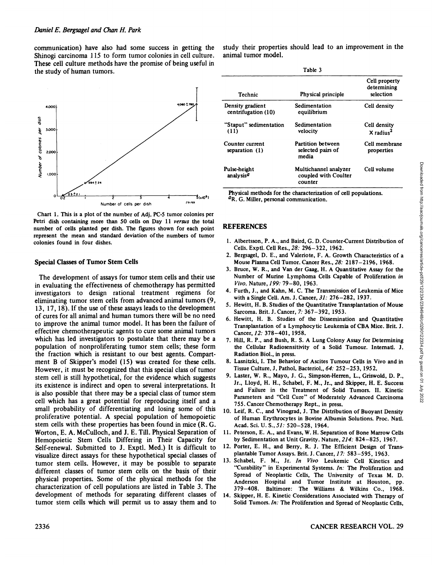communication) have also had some success in getting the Shinogi carcinoma 115 to form tumor colonies in cell culture. These cell culture methods have the promise of being useful in the study of human tumors.



Chart 1. This is a plot of the number of Adj. PC-5 tumor colonies per Petri dish containing more than 50 cells on Day 11 versus the total number of cells planted per dish. The figures shown for each point represent the mean and standard deviation of the numbers of tumor colonies found in four dishes.

#### Special Classes of Tumor Stem Cells

The development of assays for tumor stem cells and their use in evaluating the effectiveness of chemotherapy has permitted investigators to design rational treatment regimens for eliminating tumor stem cells from advanced animal tumors (9, 13, 17,18). If the use of these assays leads to the development of cures for all animal and human tumors there will be no need to improve the animal tumor model. It has been the failure of effective chemotherapeutic agents to cure some animal tumors which has led investigators to postulate that there may be a population of nonproliferating tumor stem cells; these form the fraction which is resistant to our best agents. Compart-<br>ment B of Skipper's model (15) was created for these cells. However, it must be recognized that this special class of tumor stem cell is still hypothetical, for the evidence which suggests its existence is indirect and open to several interpretations. It is also possible that there may be a special class of tumor stem cell which has a great potential for reproducing itself and a small probability of differentiating and losing some of this proliferative potential. A special population of hemopoietic stem cells with these properties has been found in mice (R. G. Worton, E. A. McCulloch, and J. E. Till. Physical Separation of Hemopoietic Stem Cells Differing in Their Capacity for Self-renewal. Submitted to J. Exptl. Med.) It is difficult to visualize direct assays for these hypothetical special classes of tumor stem cells. However, it may be possible to separate different classes of tumor stem cells on the basis of their physical properties. Some of the physical methods for the characterization of cell populations are listed in Table 3. The development of methods for separating different classes of tumor stem cells which will permit us to assay them and to

study their properties should lead to an improvement in the animal tumor model.

Table 3

| Technic                                 | Physical principle                                       | Cell property<br>determining<br>selection |
|-----------------------------------------|----------------------------------------------------------|-------------------------------------------|
| Density gradient<br>centrifugation (10) | Sedimentation<br>equilibrium                             | Cell density                              |
| "Staput" sedimentation<br>(11)          | Sedimentation<br>velocity                                | Cell density<br>$X$ radius <sup>2</sup>   |
| Counter current<br>separation $(1)$     | Partition between<br>selected pairs of<br>media          | Cell membrane<br>properties               |
| Pulse-height<br>analysis <sup>a</sup>   | Multichannel analyzer<br>coupled with Coulter<br>counter | Cell volume                               |

Physical methods for the characterization of cell populations.<br><sup>a</sup>R. G. Miller, personal communication.

### **REFERENCES**

- 1. Albertsson, P. A., and Baird, G. D. Counter-Current Distribution of Cells. Exptl. Cell Res., 28: 296-322, 1962.
- Mouse Plasma Cell Tumor. Cancer Res., 28: 2187-2196, 1968.
- 3. Bruce, W. R., and Van der Gaag, H. A Quantitative Assay for the Number of Murine Lymphoma Cells Capable of Proliferation in *Vivo. Nature, 199: 79-80, 1963.*
- 4. Furth, J., and Kahn, M. C. The Transmission of Leukemia of Mice with a Single Cell. Am. J. Cancer, 31: 276-282, 1937.
- 5. Hewitt, H. B. Studies of the Quantitative Transplantation of Mouse Sarcoma. Brit. J. Cancer, 7: 367-392, 1953.
- 6. Hewitt, H. B. Studies of the Dissemination and Quantitative Transplantation of a Lymphocytic Leukemia of CBA Mice. Brit. J. Cancer, 12: 378-401, 1958.
- 7. Hill, R. P., and Bush, R. S. A Lung Colony Assay for Determining the Cellular Radiosensitivity of a Solid Tumour. Internati. J. Radiation Biol., in press.
- 8. Lasnitzki, I. The Behavior of Ascites Tumour Cells in Vivo and in Tissue Culture. J. Pathol. Bacteriol., 64: 252-253, 1952.
- Pulse-height Multichannel analyzer Cell volume<br>
2. Coupled with Coulter<br>
2. Coupled with Coulter<br>
2. Bergsagel, D. E., and Baird, G. D. Counter-Current Distribution of<br>
2. Bergsagel, D. E., and Naird, G. D. Counter-Curren 9. Laster, W. R., Mayo, J. G., Simpson-Herren, L., Griswold, D. P., Jr., Lloyd, H. H., Schabel, F. M., Jr., and Skipper, H. E. Success and Failure in the Treatment of Solid Tumors. II. Kinetic Parameters and "Cell Cure" of Moderately Advanced Carcinoma 755. Cancer Chemotherapy Rept., in press.
- 10. Leif, R. C., and Vinograd, J. The Distribution of Buoyant Density of Human Erythrocytes in Bovine Albumin Solutions. Proc. Nati. Acad. Sei. U. S., 51: 520-528, 1964.
- 11. Peterson, E. A., and Evans, W. H. Separation of Bone Marrow Cells by Sedimentation at Unit Gravity. Nature, 214: 824-825, 1967.
- 12. Porter, E. H., and Berry, R. J. The Efficient Design of Transplantable Tumor Assays. Brit. J. Cancer, 17: 583-595, 1963.
- 13. Schabel, F. M., Jr. In Vivo Leukemic Cell Kinetics and "Curability" in Experimental Systems. In: The Proliferation and Spread of Neoplastic Cells, The University of Texas M. D. Anderson Hospital and Tumor Institute at Houston, pp. 379-408. Baltimore: The Williams & WUkins Co., 1968.
- 14. Skipper, H. E. Kinetic Considerations Associated with Therapy of Solid Tumors. In: The Proliferation and Spread of Neoplastic Cells,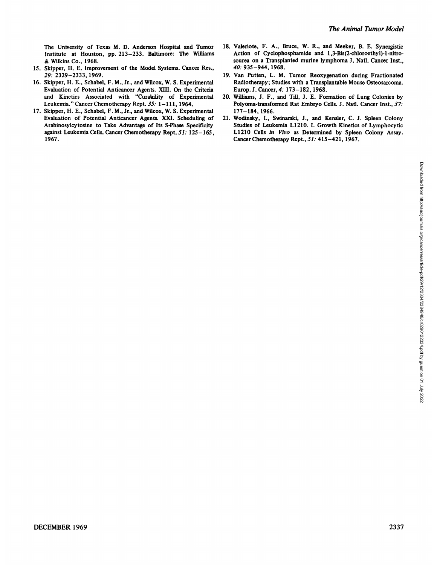- 15. Skipper, H. E. Improvement of the Model Systems. Cancer Res., 40: 935-944,1968.
- Evaluation of Potential Anticancer Agents. XIII. On the Criteria and Kinetics Associated with "Curability of Experimental 20. Williams, J. F., and Till, J. E. Formation of Lung Colonies by
- 17. Skipper, H. E., Schabel, F. M., Jr., and Wilcox, W. S. Experimental 177-184, 1966. 1967. Cancer Chemotherapy Rept., 51: 415–421, 1967.
- The University of Texas M. D. Anderson Hospital and Tumor 18. Valeriote, F. A., Bruce, W. R., and Meeker, B. E. Synergistic Institute at Houston, pp. 213-233. Baltimore: The Williams Action of Cyclophosphamide and 1,3-Bis( Action of Cyclophosphamide and 1,3-Bis(2-chloroethyl)-1-nitro-& Wilkins Co., 1968. sourea on a Transplanted murine lymphoma J. Nati. Cancer Inst.,
- *29: 2329-2333, 1969. 19. Van Putten, L. M. Tumor Reoxygenation during Fractionated* 16. Skipper, H. E., Schabel, F. M., Jr., and Wilcox, W. S. Experimental Radiotherapy; Studies with a Transplantable Mouse Osteosarcoma.<br>Evaluation of Potential Anticancer Agents. XIII. On the Criteria Europ. J. Cancer, 4:
	- Leukemia." Cancer Chemotherapy Rept. 35: 1–111, 1964. Polyoma-transformed Rat Embryo Cells. J. Natl. Cancer Inst., 37:
	- Evaluation of Potential Anticancer Agents. XXI. Scheduling of 21. Wodinsky, I., Swinarski, J., and Kensler, C. J. Spleen Colony Studies of Leukemia L1210. I. Growth Kinetics of Lymphocytic against Leukemia Cells. Cancer Chemotherapy Rept. 51: 125-165, L1210 Cells in Vivo as Determined by Spleen Colony Assay.